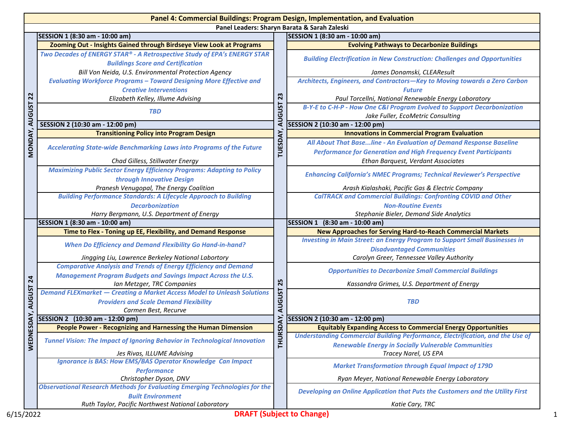|                |                                                                                                                                                                                              |                                        | Panel 4: Commercial Buildings: Program Design, Implementation, and Evaluation                                                                   |
|----------------|----------------------------------------------------------------------------------------------------------------------------------------------------------------------------------------------|----------------------------------------|-------------------------------------------------------------------------------------------------------------------------------------------------|
|                | SESSION 1 (8:30 am - 10:00 am)                                                                                                                                                               |                                        | Panel Leaders: Sharyn Barata & Sarah Zaleski                                                                                                    |
|                |                                                                                                                                                                                              |                                        | SESSION 1 (8:30 am - 10:00 am)                                                                                                                  |
|                | Zooming Out - Insights Gained through Birdseye View Look at Programs<br>Two Decades of ENERGY STAR® - A Retrospective Study of EPA's ENERGY STAR<br><b>Buildings Score and Certification</b> | 23<br><b>AUGUST</b><br>TUESDAY,        | <b>Evolving Pathways to Decarbonize Buildings</b><br><b>Building Electrification in New Construction: Challenges and Opportunities</b>          |
|                | Bill Von Neida, U.S. Environmental Protection Agency                                                                                                                                         |                                        | James Donamski, CLEAResult                                                                                                                      |
|                | <b>Evaluating Workforce Programs - Toward Designing More Effective and</b><br><b>Creative Interventions</b>                                                                                  |                                        | Architects, Engineers, and Contractors-Key to Moving towards a Zero Carbon<br><b>Future</b>                                                     |
| $\overline{2}$ | Elizabeth Kelley, Illume Advising                                                                                                                                                            |                                        | Paul Torcellni, National Renewable Energy Laboratory<br>B-Y-E to C-H-P - How One C&I Program Evolved to Support Decarbonization                 |
| <b>AUGUST</b>  | <b>TBD</b>                                                                                                                                                                                   |                                        | Jake Fuller, EcoMetric Consulting                                                                                                               |
|                | SESSION 2 (10:30 am - 12:00 pm)                                                                                                                                                              |                                        | SESSION 2 (10:30 am - 12:00 pm)                                                                                                                 |
|                | <b>Transitioning Policy into Program Design</b>                                                                                                                                              |                                        | <b>Innovations in Commercial Program Evaluation</b>                                                                                             |
| MONDAY,        | Accelerating State-wide Benchmarking Laws into Programs of the Future                                                                                                                        |                                        | All About That Base line - An Evaluation of Demand Response Baseline<br><b>Performance for Generation and High Frequency Event Participants</b> |
|                | Chad Gilless, Stillwater Energy                                                                                                                                                              |                                        | Ethan Barquest, Verdant Associates                                                                                                              |
|                | <b>Maximizing Public Sector Energy Efficiency Programs: Adapting to Policy</b><br>through Innovative Design                                                                                  |                                        | <b>Enhancing California's NMEC Programs; Technical Reviewer's Perspective</b>                                                                   |
|                | Pranesh Venugopal, The Energy Coalition                                                                                                                                                      |                                        | Arash Kialashaki, Pacific Gas & Electric Company                                                                                                |
|                | <b>Building Performance Standards: A Lifecycle Approach to Building</b>                                                                                                                      |                                        | <b>CalTRACK and Commercial Buildings: Confronting COVID and Other</b>                                                                           |
|                | <b>Decarbonization</b>                                                                                                                                                                       |                                        | <b>Non-Routine Events</b>                                                                                                                       |
|                | Harry Bergmann, U.S. Department of Energy                                                                                                                                                    |                                        | Stephanie Bieler, Demand Side Analytics                                                                                                         |
|                | SESSION 1 (8:30 am - 10:00 am)                                                                                                                                                               |                                        | SESSION 1 (8:30 am - 10:00 am)                                                                                                                  |
|                | Time to Flex - Toning up EE, Flexibility, and Demand Response                                                                                                                                |                                        | <b>New Approaches for Serving Hard-to-Reach Commercial Markets</b>                                                                              |
|                | <b>When Do Efficiency and Demand Flexibility Go Hand-in-hand?</b>                                                                                                                            |                                        | <b>Investing in Main Street: an Energy Program to Support Small Businesses in</b><br><b>Disadvantaged Communities</b>                           |
|                | Jingging Liu, Lawrence Berkeley National Labortory                                                                                                                                           |                                        | Carolyn Greer, Tennessee Valley Authority                                                                                                       |
|                | <b>Comparative Analysis and Trends of Energy Efficiency and Demand</b><br><b>Management Program Budgets and Savings Impact Across the U.S.</b>                                               |                                        | <b>Opportunities to Decarbonize Small Commercial Buildings</b>                                                                                  |
| 24             | Ian Metzger, TRC Companies                                                                                                                                                                   | 25                                     | Kassandra Grimes, U.S. Department of Energy                                                                                                     |
| <b>AUGUST</b>  | <b>Demand FLEXmarket - Creating a Market Access Model to Unleash Solutions</b><br><b>Providers and Scale Demand Flexibility</b>                                                              | <b>AUGUST</b><br>RSDAY,<br><b>THUR</b> | <b>TBD</b>                                                                                                                                      |
|                | Carmen Best, Recurve<br>SESSION 2 (10:30 am - 12:00 pm)                                                                                                                                      |                                        | SESSION 2 (10:30 am - 12:00 pm)                                                                                                                 |
| ESDAY          | <b>People Power - Recognizing and Harnessing the Human Dimension</b>                                                                                                                         |                                        | <b>Equitably Expanding Access to Commercial Energy Opportunities</b>                                                                            |
|                |                                                                                                                                                                                              |                                        | <b>Understanding Commercial Building Performance, Electrification, and the Use of</b>                                                           |
| WEDN           | <b>Tunnel Vision: The Impact of Ignoring Behavior in Technological Innovation</b>                                                                                                            |                                        | <b>Renewable Energy in Socially Vulnerable Communities</b>                                                                                      |
|                | Jes Rivas, ILLUME Advising                                                                                                                                                                   |                                        | Tracey Narel, US EPA                                                                                                                            |
|                | Ignorance is BAS: How EMS/BAS Operator Knowledge Can Impact<br><b>Performance</b>                                                                                                            |                                        | <b>Market Transformation through Equal Impact of 179D</b>                                                                                       |
|                | Christopher Dyson, DNV                                                                                                                                                                       |                                        | Ryan Meyer, National Renewable Energy Laboratory                                                                                                |
|                | <b>Observational Research Methods for Evaluating Emerging Technologies for the</b><br><b>Built Environment</b>                                                                               |                                        | Developing an Online Application that Puts the Customers and the Utility First                                                                  |
|                |                                                                                                                                                                                              |                                        |                                                                                                                                                 |
|                | Ruth Taylor, Pacific Northwest National Laboratory                                                                                                                                           |                                        | Katie Cary, TRC                                                                                                                                 |